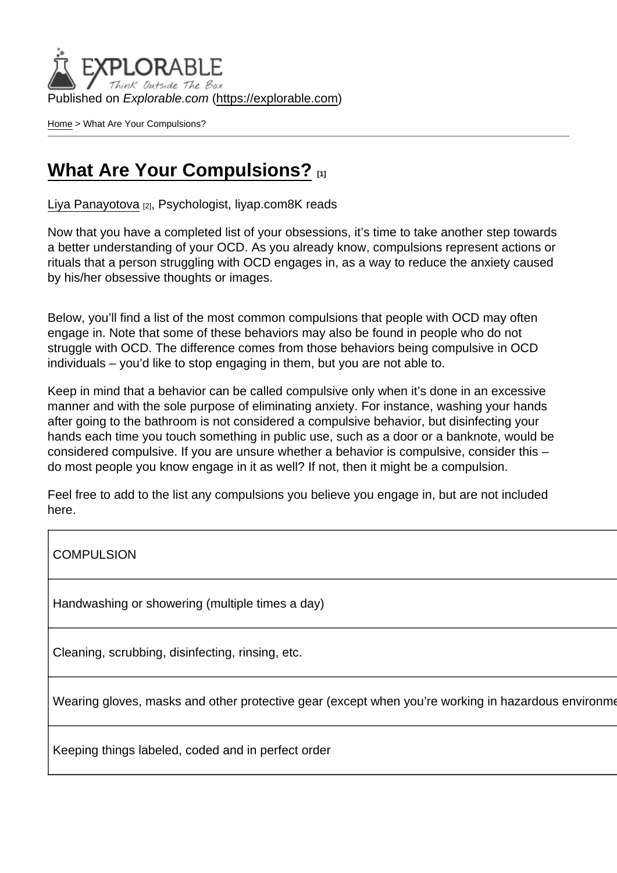Published on Explorable.com (<https://explorable.com>)

[Home](https://explorable.com/) > What Are Your Compulsions?

## [What Are Your Compulsions?](https://explorable.com/e/what-are-your-compulsions)

[Liya Panayotova](https://explorable.com/users/Liya Panayotova) [2], Psychologist, liyap.com8K reads

Now that you have a completed list of your obsessions, it's time to take another step towards a better understanding of your OCD. As you already know, compulsions represent actions or rituals that a person struggling with OCD engages in, as a way to reduce the anxiety caused by his/her obsessive thoughts or images.

Below, you'll find a list of the most common compulsions that people with OCD may often engage in. Note that some of these behaviors may also be found in people who do not struggle with OCD. The difference comes from those behaviors being compulsive in OCD individuals – you'd like to stop engaging in them, but you are not able to.

Keep in mind that a behavior can be called compulsive only when it's done in an excessive manner and with the sole purpose of eliminating anxiety. For instance, washing your hands after going to the bathroom is not considered a compulsive behavior, but disinfecting your hands each time you touch something in public use, such as a door or a banknote, would be considered compulsive. If you are unsure whether a behavior is compulsive, consider this – do most people you know engage in it as well? If not, then it might be a compulsion.

Feel free to add to the list any compulsions you believe you engage in, but are not included here.

COMPULSION YES NOT THE SERVE THAT IS A RELATED FOR THE SERVE THAT IS A RELATED FOR THE STATE OF STATE OF STATE OF STATE OF STATE OF STATE OF STATE OF STATE OF STATE OF STATE OF STATE OF STATE OF STATE OF STATE OF STATE OF

Handwashing or showering (multiple times a day)

Cleaning, scrubbing, disinfecting, rinsing, etc.

Wearing gloves, masks and other protective gear (except when you're working in hazardous environme

Keeping things labeled, coded and in perfect order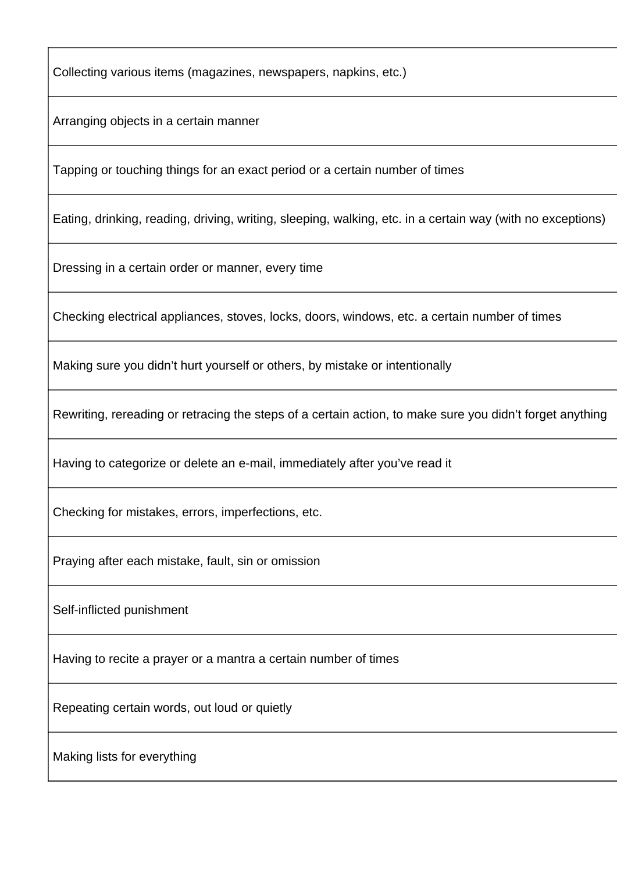Collecting various items (magazines, newspapers, napkins, etc.)

Arranging objects in a certain manner

Tapping or touching things for an exact period or a certain number of times

Eating, drinking, reading, driving, writing, sleeping, walking, etc. in a certain way (with no exceptions)

Dressing in a certain order or manner, every time

Checking electrical appliances, stoves, locks, doors, windows, etc. a certain number of times

Making sure you didn't hurt yourself or others, by mistake or intentionally

Rewriting, rereading or retracing the steps of a certain action, to make sure you didn't forget anything

Having to categorize or delete an e-mail, immediately after you've read it

Checking for mistakes, errors, imperfections, etc.

Praying after each mistake, fault, sin or omission

Self-inflicted punishment

Having to recite a prayer or a mantra a certain number of times

Repeating certain words, out loud or quietly

Making lists for everything